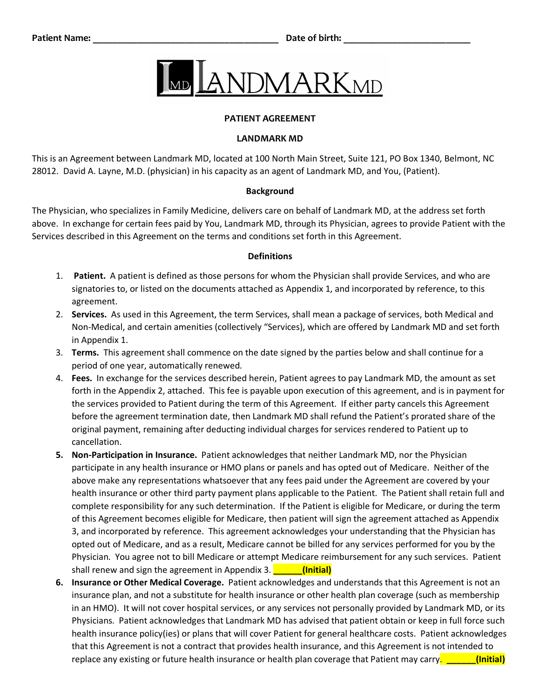

## **PATIENT AGREEMENT**

### **LANDMARK MD**

This is an Agreement between Landmark MD, located at 100 North Main Street, Suite 121, PO Box 1340, Belmont, NC 28012. David A. Layne, M.D. (physician) in his capacity as an agent of Landmark MD, and You, (Patient).

#### **Background**

The Physician, who specializes in Family Medicine, delivers care on behalf of Landmark MD, at the address set forth above. In exchange for certain fees paid by You, Landmark MD, through its Physician, agrees to provide Patient with the Services described in this Agreement on the terms and conditions set forth in this Agreement.

#### **Definitions**

- 1. **Patient.** A patient is defined as those persons for whom the Physician shall provide Services, and who are signatories to, or listed on the documents attached as Appendix 1, and incorporated by reference, to this agreement.
- 2. **Services.** As used in this Agreement, the term Services, shall mean a package of services, both Medical and Non-Medical, and certain amenities (collectively "Services), which are offered by Landmark MD and set forth in Appendix 1.
- 3. **Terms.** This agreement shall commence on the date signed by the parties below and shall continue for a period of one year, automatically renewed.
- 4. **Fees.** In exchange for the services described herein, Patient agrees to pay Landmark MD, the amount as set forth in the Appendix 2, attached. This fee is payable upon execution of this agreement, and is in payment for the services provided to Patient during the term of this Agreement. If either party cancels this Agreement before the agreement termination date, then Landmark MD shall refund the Patient's prorated share of the original payment, remaining after deducting individual charges for services rendered to Patient up to cancellation.
- **5. Non-Participation in Insurance.** Patient acknowledges that neither Landmark MD, nor the Physician participate in any health insurance or HMO plans or panels and has opted out of Medicare. Neither of the above make any representations whatsoever that any fees paid under the Agreement are covered by your health insurance or other third party payment plans applicable to the Patient. The Patient shall retain full and complete responsibility for any such determination. If the Patient is eligible for Medicare, or during the term of this Agreement becomes eligible for Medicare, then patient will sign the agreement attached as Appendix 3, and incorporated by reference. This agreement acknowledges your understanding that the Physician has opted out of Medicare, and as a result, Medicare cannot be billed for any services performed for you by the Physician. You agree not to bill Medicare or attempt Medicare reimbursement for any such services. Patient shall renew and sign the agreement in Appendix 3. **\_\_\_\_\_\_(Initial)**
- **6. Insurance or Other Medical Coverage.** Patient acknowledges and understands that this Agreement is not an insurance plan, and not a substitute for health insurance or other health plan coverage (such as membership in an HMO). It will not cover hospital services, or any services not personally provided by Landmark MD, or its Physicians. Patient acknowledges that Landmark MD has advised that patient obtain or keep in full force such health insurance policy(ies) or plans that will cover Patient for general healthcare costs. Patient acknowledges that this Agreement is not a contract that provides health insurance, and this Agreement is not intended to replace any existing or future health insurance or health plan coverage that Patient may carry. **\_\_\_\_\_\_(Initial)**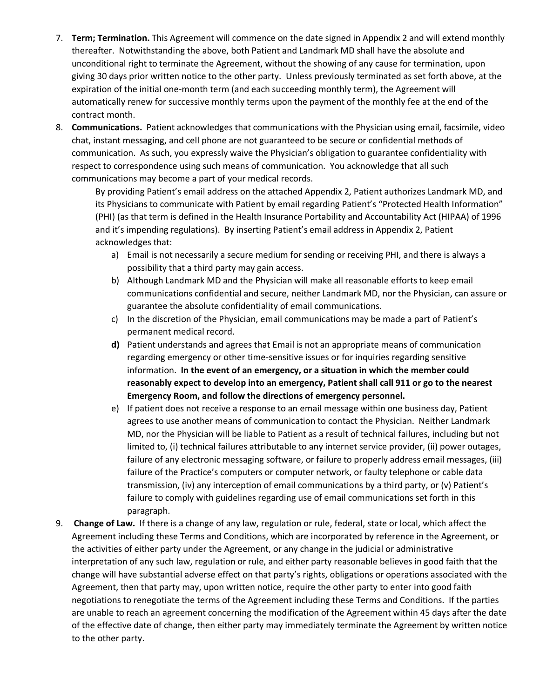- 7. **Term; Termination.** This Agreement will commence on the date signed in Appendix 2 and will extend monthly thereafter. Notwithstanding the above, both Patient and Landmark MD shall have the absolute and unconditional right to terminate the Agreement, without the showing of any cause for termination, upon giving 30 days prior written notice to the other party. Unless previously terminated as set forth above, at the expiration of the initial one-month term (and each succeeding monthly term), the Agreement will automatically renew for successive monthly terms upon the payment of the monthly fee at the end of the contract month.
- 8. **Communications.** Patient acknowledges that communications with the Physician using email, facsimile, video chat, instant messaging, and cell phone are not guaranteed to be secure or confidential methods of communication. As such, you expressly waive the Physician's obligation to guarantee confidentiality with respect to correspondence using such means of communication. You acknowledge that all such communications may become a part of your medical records.

By providing Patient's email address on the attached Appendix 2, Patient authorizes Landmark MD, and its Physicians to communicate with Patient by email regarding Patient's "Protected Health Information" (PHI) (as that term is defined in the Health Insurance Portability and Accountability Act (HIPAA) of 1996 and it's impending regulations). By inserting Patient's email address in Appendix 2, Patient acknowledges that:

- a) Email is not necessarily a secure medium for sending or receiving PHI, and there is always a possibility that a third party may gain access.
- b) Although Landmark MD and the Physician will make all reasonable efforts to keep email communications confidential and secure, neither Landmark MD, nor the Physician, can assure or guarantee the absolute confidentiality of email communications.
- c) In the discretion of the Physician, email communications may be made a part of Patient's permanent medical record.
- **d)** Patient understands and agrees that Email is not an appropriate means of communication regarding emergency or other time-sensitive issues or for inquiries regarding sensitive information. **In the event of an emergency, or a situation in which the member could reasonably expect to develop into an emergency, Patient shall call 911 or go to the nearest Emergency Room, and follow the directions of emergency personnel.**
- e) If patient does not receive a response to an email message within one business day, Patient agrees to use another means of communication to contact the Physician. Neither Landmark MD, nor the Physician will be liable to Patient as a result of technical failures, including but not limited to, (i) technical failures attributable to any internet service provider, (ii) power outages, failure of any electronic messaging software, or failure to properly address email messages, (iii) failure of the Practice's computers or computer network, or faulty telephone or cable data transmission, (iv) any interception of email communications by a third party, or (v) Patient's failure to comply with guidelines regarding use of email communications set forth in this paragraph.
- 9. **Change of Law.** If there is a change of any law, regulation or rule, federal, state or local, which affect the Agreement including these Terms and Conditions, which are incorporated by reference in the Agreement, or the activities of either party under the Agreement, or any change in the judicial or administrative interpretation of any such law, regulation or rule, and either party reasonable believes in good faith that the change will have substantial adverse effect on that party's rights, obligations or operations associated with the Agreement, then that party may, upon written notice, require the other party to enter into good faith negotiations to renegotiate the terms of the Agreement including these Terms and Conditions. If the parties are unable to reach an agreement concerning the modification of the Agreement within 45 days after the date of the effective date of change, then either party may immediately terminate the Agreement by written notice to the other party.